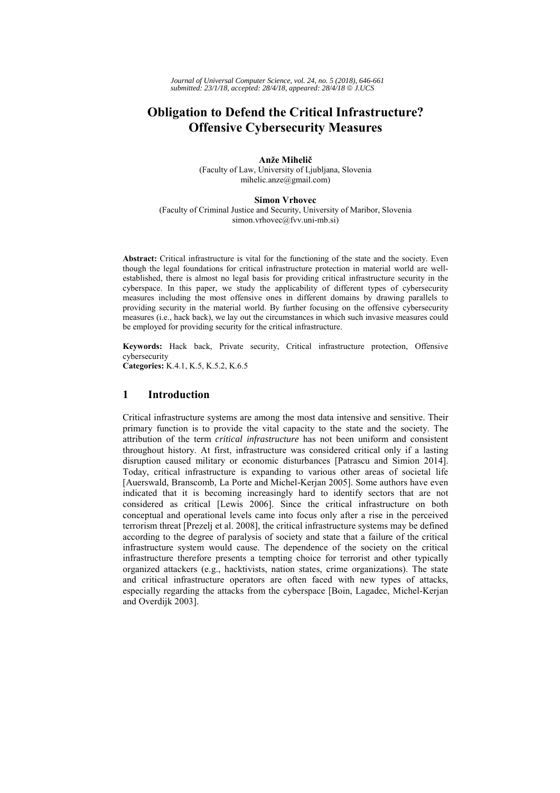*Journal of Universal Computer Science, vol. 24, no. 5 (2018), 646-661 submitted: 23/1/18, accepted: 28/4/18, appeared: 28/4/18* © *J.UCS*

# **Obligation to Defend the Critical Infrastructure? Offensive Cybersecurity Measures**

**Anže Mihelič** (Faculty of Law, University of Ljubljana, Slovenia mihelic.anze@gmail.com)

## **Simon Vrhovec**

(Faculty of Criminal Justice and Security, University of Maribor, Slovenia simon.vrhovec@fvv.uni-mb.si)

**Abstract:** Critical infrastructure is vital for the functioning of the state and the society. Even though the legal foundations for critical infrastructure protection in material world are wellestablished, there is almost no legal basis for providing critical infrastructure security in the cyberspace. In this paper, we study the applicability of different types of cybersecurity measures including the most offensive ones in different domains by drawing parallels to providing security in the material world. By further focusing on the offensive cybersecurity measures (i.e., hack back), we lay out the circumstances in which such invasive measures could be employed for providing security for the critical infrastructure.

**Keywords:** Hack back, Private security, Critical infrastructure protection, Offensive cybersecurity

**Categories:** K.4.1, K.5, K.5.2, K.6.5

## **1 Introduction**

Critical infrastructure systems are among the most data intensive and sensitive. Their primary function is to provide the vital capacity to the state and the society. The attribution of the term *critical infrastructure* has not been uniform and consistent throughout history. At first, infrastructure was considered critical only if a lasting disruption caused military or economic disturbances [Patrascu and Simion 2014]. Today, critical infrastructure is expanding to various other areas of societal life [Auerswald, Branscomb, La Porte and Michel-Kerjan 2005]. Some authors have even indicated that it is becoming increasingly hard to identify sectors that are not considered as critical [Lewis 2006]. Since the critical infrastructure on both conceptual and operational levels came into focus only after a rise in the perceived terrorism threat [Prezelj et al. 2008], the critical infrastructure systems may be defined according to the degree of paralysis of society and state that a failure of the critical infrastructure system would cause. The dependence of the society on the critical infrastructure therefore presents a tempting choice for terrorist and other typically organized attackers (e.g., hacktivists, nation states, crime organizations). The state and critical infrastructure operators are often faced with new types of attacks, especially regarding the attacks from the cyberspace [Boin, Lagadec, Michel-Kerjan and Overdijk 2003].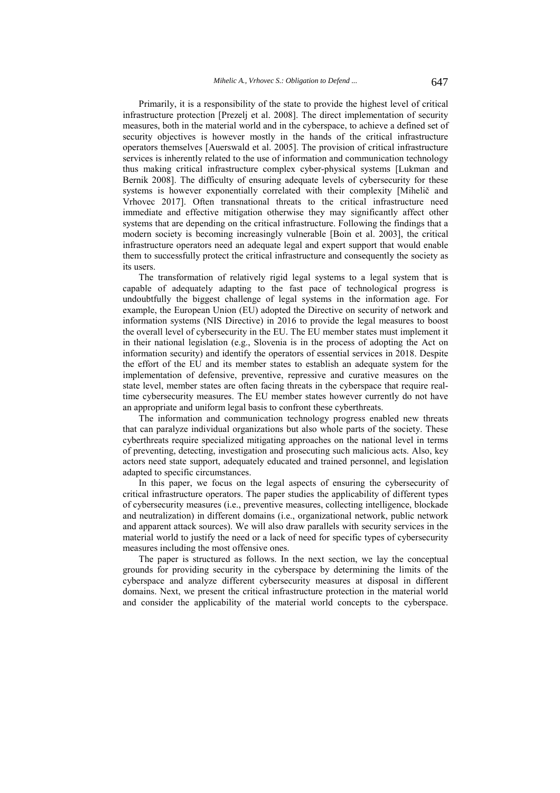Primarily, it is a responsibility of the state to provide the highest level of critical infrastructure protection [Prezelj et al. 2008]. The direct implementation of security measures, both in the material world and in the cyberspace, to achieve a defined set of security objectives is however mostly in the hands of the critical infrastructure operators themselves [Auerswald et al. 2005]. The provision of critical infrastructure services is inherently related to the use of information and communication technology thus making critical infrastructure complex cyber-physical systems [Lukman and Bernik 2008]. The difficulty of ensuring adequate levels of cybersecurity for these systems is however exponentially correlated with their complexity [Mihelič and Vrhovec 2017]. Often transnational threats to the critical infrastructure need immediate and effective mitigation otherwise they may significantly affect other systems that are depending on the critical infrastructure. Following the findings that a modern society is becoming increasingly vulnerable [Boin et al. 2003], the critical infrastructure operators need an adequate legal and expert support that would enable them to successfully protect the critical infrastructure and consequently the society as its users.

The transformation of relatively rigid legal systems to a legal system that is capable of adequately adapting to the fast pace of technological progress is undoubtfully the biggest challenge of legal systems in the information age. For example, the European Union (EU) adopted the Directive on security of network and information systems (NIS Directive) in 2016 to provide the legal measures to boost the overall level of cybersecurity in the EU. The EU member states must implement it in their national legislation (e.g., Slovenia is in the process of adopting the Act on information security) and identify the operators of essential services in 2018. Despite the effort of the EU and its member states to establish an adequate system for the implementation of defensive, preventive, repressive and curative measures on the state level, member states are often facing threats in the cyberspace that require realtime cybersecurity measures. The EU member states however currently do not have an appropriate and uniform legal basis to confront these cyberthreats.

The information and communication technology progress enabled new threats that can paralyze individual organizations but also whole parts of the society. These cyberthreats require specialized mitigating approaches on the national level in terms of preventing, detecting, investigation and prosecuting such malicious acts. Also, key actors need state support, adequately educated and trained personnel, and legislation adapted to specific circumstances.

In this paper, we focus on the legal aspects of ensuring the cybersecurity of critical infrastructure operators. The paper studies the applicability of different types of cybersecurity measures (i.e., preventive measures, collecting intelligence, blockade and neutralization) in different domains (i.e., organizational network, public network and apparent attack sources). We will also draw parallels with security services in the material world to justify the need or a lack of need for specific types of cybersecurity measures including the most offensive ones.

The paper is structured as follows. In the next section, we lay the conceptual grounds for providing security in the cyberspace by determining the limits of the cyberspace and analyze different cybersecurity measures at disposal in different domains. Next, we present the critical infrastructure protection in the material world and consider the applicability of the material world concepts to the cyberspace.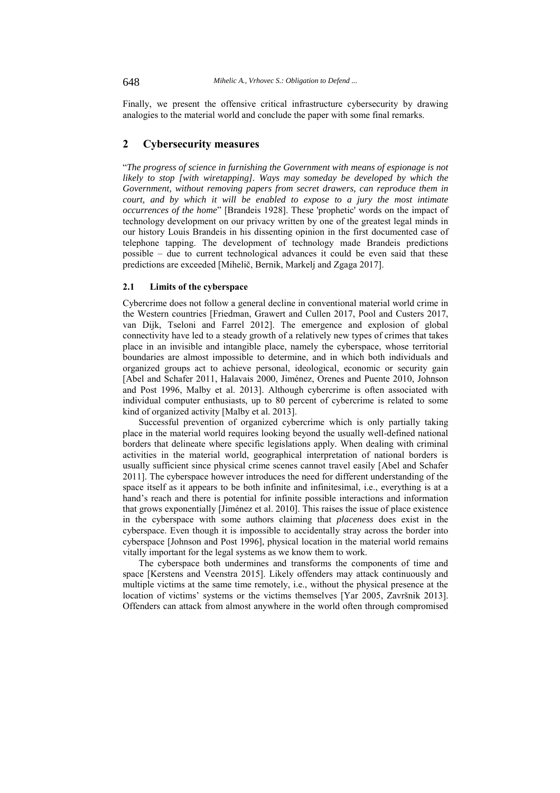Finally, we present the offensive critical infrastructure cybersecurity by drawing analogies to the material world and conclude the paper with some final remarks.

# **2 Cybersecurity measures**

"*The progress of science in furnishing the Government with means of espionage is not likely to stop [with wiretapping]. Ways may someday be developed by which the Government, without removing papers from secret drawers, can reproduce them in court, and by which it will be enabled to expose to a jury the most intimate occurrences of the home*" [Brandeis 1928]. These 'prophetic' words on the impact of technology development on our privacy written by one of the greatest legal minds in our history Louis Brandeis in his dissenting opinion in the first documented case of telephone tapping. The development of technology made Brandeis predictions possible – due to current technological advances it could be even said that these predictions are exceeded [Mihelič, Bernik, Markelj and Zgaga 2017].

#### **2.1 Limits of the cyberspace**

Cybercrime does not follow a general decline in conventional material world crime in the Western countries [Friedman, Grawert and Cullen 2017, Pool and Custers 2017, van Dijk, Tseloni and Farrel 2012]. The emergence and explosion of global connectivity have led to a steady growth of a relatively new types of crimes that takes place in an invisible and intangible place, namely the cyberspace, whose territorial boundaries are almost impossible to determine, and in which both individuals and organized groups act to achieve personal, ideological, economic or security gain [Abel and Schafer 2011, Halavais 2000, Jiménez, Orenes and Puente 2010, Johnson and Post 1996, Malby et al. 2013]. Although cybercrime is often associated with individual computer enthusiasts, up to 80 percent of cybercrime is related to some kind of organized activity [Malby et al. 2013].

Successful prevention of organized cybercrime which is only partially taking place in the material world requires looking beyond the usually well-defined national borders that delineate where specific legislations apply. When dealing with criminal activities in the material world, geographical interpretation of national borders is usually sufficient since physical crime scenes cannot travel easily [Abel and Schafer 2011]. The cyberspace however introduces the need for different understanding of the space itself as it appears to be both infinite and infinitesimal, i.e., everything is at a hand's reach and there is potential for infinite possible interactions and information that grows exponentially [Jiménez et al. 2010]. This raises the issue of place existence in the cyberspace with some authors claiming that *placeness* does exist in the cyberspace. Even though it is impossible to accidentally stray across the border into cyberspace [Johnson and Post 1996], physical location in the material world remains vitally important for the legal systems as we know them to work.

The cyberspace both undermines and transforms the components of time and space [Kerstens and Veenstra 2015]. Likely offenders may attack continuously and multiple victims at the same time remotely, i.e., without the physical presence at the location of victims' systems or the victims themselves [Yar 2005, Završnik 2013]. Offenders can attack from almost anywhere in the world often through compromised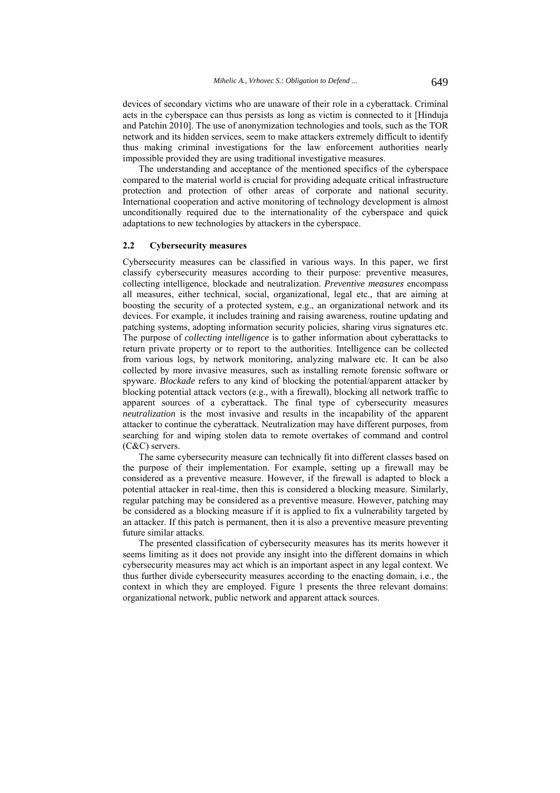devices of secondary victims who are unaware of their role in a cyberattack. Criminal acts in the cyberspace can thus persists as long as victim is connected to it [Hinduja and Patchin 2010]. The use of anonymization technologies and tools, such as the TOR network and its hidden services, seem to make attackers extremely difficult to identify thus making criminal investigations for the law enforcement authorities nearly impossible provided they are using traditional investigative measures.

The understanding and acceptance of the mentioned specifics of the cyberspace compared to the material world is crucial for providing adequate critical infrastructure protection and protection of other areas of corporate and national security. International cooperation and active monitoring of technology development is almost unconditionally required due to the internationality of the cyberspace and quick adaptations to new technologies by attackers in the cyberspace.

#### **2.2 Cybersecurity measures**

Cybersecurity measures can be classified in various ways. In this paper, we first classify cybersecurity measures according to their purpose: preventive measures, collecting intelligence, blockade and neutralization. *Preventive measures* encompass all measures, either technical, social, organizational, legal etc., that are aiming at boosting the security of a protected system, e.g., an organizational network and its devices. For example, it includes training and raising awareness, routine updating and patching systems, adopting information security policies, sharing virus signatures etc. The purpose of *collecting intelligence* is to gather information about cyberattacks to return private property or to report to the authorities. Intelligence can be collected from various logs, by network monitoring, analyzing malware etc. It can be also collected by more invasive measures, such as installing remote forensic software or spyware. *Blockade* refers to any kind of blocking the potential/apparent attacker by blocking potential attack vectors (e.g., with a firewall), blocking all network traffic to apparent sources of a cyberattack. The final type of cybersecurity measures *neutralization* is the most invasive and results in the incapability of the apparent attacker to continue the cyberattack. Neutralization may have different purposes, from searching for and wiping stolen data to remote overtakes of command and control (C&C) servers.

The same cybersecurity measure can technically fit into different classes based on the purpose of their implementation. For example, setting up a firewall may be considered as a preventive measure. However, if the firewall is adapted to block a potential attacker in real-time, then this is considered a blocking measure. Similarly, regular patching may be considered as a preventive measure. However, patching may be considered as a blocking measure if it is applied to fix a vulnerability targeted by an attacker. If this patch is permanent, then it is also a preventive measure preventing future similar attacks.

The presented classification of cybersecurity measures has its merits however it seems limiting as it does not provide any insight into the different domains in which cybersecurity measures may act which is an important aspect in any legal context. We thus further divide cybersecurity measures according to the enacting domain, i.e., the context in which they are employed. Figure 1 presents the three relevant domains: organizational network, public network and apparent attack sources.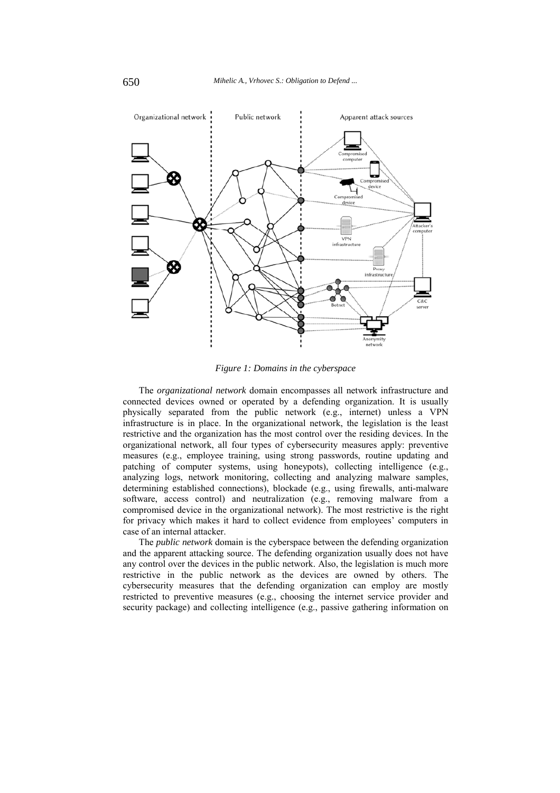

*Figure 1: Domains in the cyberspace* 

The *organizational network* domain encompasses all network infrastructure and connected devices owned or operated by a defending organization. It is usually physically separated from the public network (e.g., internet) unless a VPN infrastructure is in place. In the organizational network, the legislation is the least restrictive and the organization has the most control over the residing devices. In the organizational network, all four types of cybersecurity measures apply: preventive measures (e.g., employee training, using strong passwords, routine updating and patching of computer systems, using honeypots), collecting intelligence (e.g., analyzing logs, network monitoring, collecting and analyzing malware samples, determining established connections), blockade (e.g., using firewalls, anti-malware software, access control) and neutralization (e.g., removing malware from a compromised device in the organizational network). The most restrictive is the right for privacy which makes it hard to collect evidence from employees' computers in case of an internal attacker.

The *public network* domain is the cyberspace between the defending organization and the apparent attacking source. The defending organization usually does not have any control over the devices in the public network. Also, the legislation is much more restrictive in the public network as the devices are owned by others. The cybersecurity measures that the defending organization can employ are mostly restricted to preventive measures (e.g., choosing the internet service provider and security package) and collecting intelligence (e.g., passive gathering information on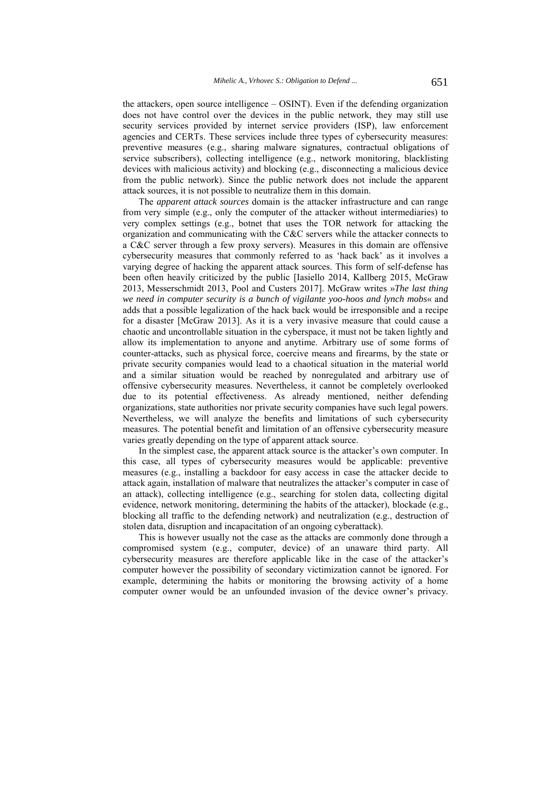the attackers, open source intelligence – OSINT). Even if the defending organization does not have control over the devices in the public network, they may still use security services provided by internet service providers (ISP), law enforcement agencies and CERTs. These services include three types of cybersecurity measures: preventive measures (e.g., sharing malware signatures, contractual obligations of service subscribers), collecting intelligence (e.g., network monitoring, blacklisting devices with malicious activity) and blocking (e.g., disconnecting a malicious device from the public network). Since the public network does not include the apparent attack sources, it is not possible to neutralize them in this domain.

The *apparent attack sources* domain is the attacker infrastructure and can range from very simple (e.g., only the computer of the attacker without intermediaries) to very complex settings (e.g., botnet that uses the TOR network for attacking the organization and communicating with the C&C servers while the attacker connects to a C&C server through a few proxy servers). Measures in this domain are offensive cybersecurity measures that commonly referred to as 'hack back' as it involves a varying degree of hacking the apparent attack sources. This form of self-defense has been often heavily criticized by the public [Iasiello 2014, Kallberg 2015, McGraw 2013, Messerschmidt 2013, Pool and Custers 2017]. McGraw writes »*The last thing we need in computer security is a bunch of vigilante yoo-hoos and lynch mobs*« and adds that a possible legalization of the hack back would be irresponsible and a recipe for a disaster [McGraw 2013]. As it is a very invasive measure that could cause a chaotic and uncontrollable situation in the cyberspace, it must not be taken lightly and allow its implementation to anyone and anytime. Arbitrary use of some forms of counter-attacks, such as physical force, coercive means and firearms, by the state or private security companies would lead to a chaotical situation in the material world and a similar situation would be reached by nonregulated and arbitrary use of offensive cybersecurity measures. Nevertheless, it cannot be completely overlooked due to its potential effectiveness. As already mentioned, neither defending organizations, state authorities nor private security companies have such legal powers. Nevertheless, we will analyze the benefits and limitations of such cybersecurity measures. The potential benefit and limitation of an offensive cybersecurity measure varies greatly depending on the type of apparent attack source.

In the simplest case, the apparent attack source is the attacker's own computer. In this case, all types of cybersecurity measures would be applicable: preventive measures (e.g., installing a backdoor for easy access in case the attacker decide to attack again, installation of malware that neutralizes the attacker's computer in case of an attack), collecting intelligence (e.g., searching for stolen data, collecting digital evidence, network monitoring, determining the habits of the attacker), blockade (e.g., blocking all traffic to the defending network) and neutralization (e.g., destruction of stolen data, disruption and incapacitation of an ongoing cyberattack).

This is however usually not the case as the attacks are commonly done through a compromised system (e.g., computer, device) of an unaware third party. All cybersecurity measures are therefore applicable like in the case of the attacker's computer however the possibility of secondary victimization cannot be ignored. For example, determining the habits or monitoring the browsing activity of a home computer owner would be an unfounded invasion of the device owner's privacy.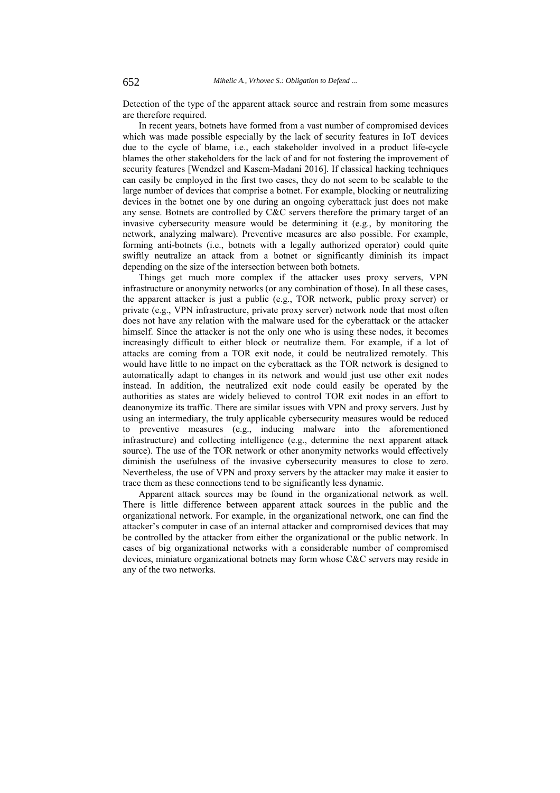Detection of the type of the apparent attack source and restrain from some measures are therefore required.

In recent years, botnets have formed from a vast number of compromised devices which was made possible especially by the lack of security features in IoT devices due to the cycle of blame, i.e., each stakeholder involved in a product life-cycle blames the other stakeholders for the lack of and for not fostering the improvement of security features [Wendzel and Kasem-Madani 2016]. If classical hacking techniques can easily be employed in the first two cases, they do not seem to be scalable to the large number of devices that comprise a botnet. For example, blocking or neutralizing devices in the botnet one by one during an ongoing cyberattack just does not make any sense. Botnets are controlled by C&C servers therefore the primary target of an invasive cybersecurity measure would be determining it (e.g., by monitoring the network, analyzing malware). Preventive measures are also possible. For example, forming anti-botnets (i.e., botnets with a legally authorized operator) could quite swiftly neutralize an attack from a botnet or significantly diminish its impact depending on the size of the intersection between both botnets.

Things get much more complex if the attacker uses proxy servers, VPN infrastructure or anonymity networks (or any combination of those). In all these cases, the apparent attacker is just a public (e.g., TOR network, public proxy server) or private (e.g., VPN infrastructure, private proxy server) network node that most often does not have any relation with the malware used for the cyberattack or the attacker himself. Since the attacker is not the only one who is using these nodes, it becomes increasingly difficult to either block or neutralize them. For example, if a lot of attacks are coming from a TOR exit node, it could be neutralized remotely. This would have little to no impact on the cyberattack as the TOR network is designed to automatically adapt to changes in its network and would just use other exit nodes instead. In addition, the neutralized exit node could easily be operated by the authorities as states are widely believed to control TOR exit nodes in an effort to deanonymize its traffic. There are similar issues with VPN and proxy servers. Just by using an intermediary, the truly applicable cybersecurity measures would be reduced to preventive measures (e.g., inducing malware into the aforementioned infrastructure) and collecting intelligence (e.g., determine the next apparent attack source). The use of the TOR network or other anonymity networks would effectively diminish the usefulness of the invasive cybersecurity measures to close to zero. Nevertheless, the use of VPN and proxy servers by the attacker may make it easier to trace them as these connections tend to be significantly less dynamic.

Apparent attack sources may be found in the organizational network as well. There is little difference between apparent attack sources in the public and the organizational network. For example, in the organizational network, one can find the attacker's computer in case of an internal attacker and compromised devices that may be controlled by the attacker from either the organizational or the public network. In cases of big organizational networks with a considerable number of compromised devices, miniature organizational botnets may form whose C&C servers may reside in any of the two networks.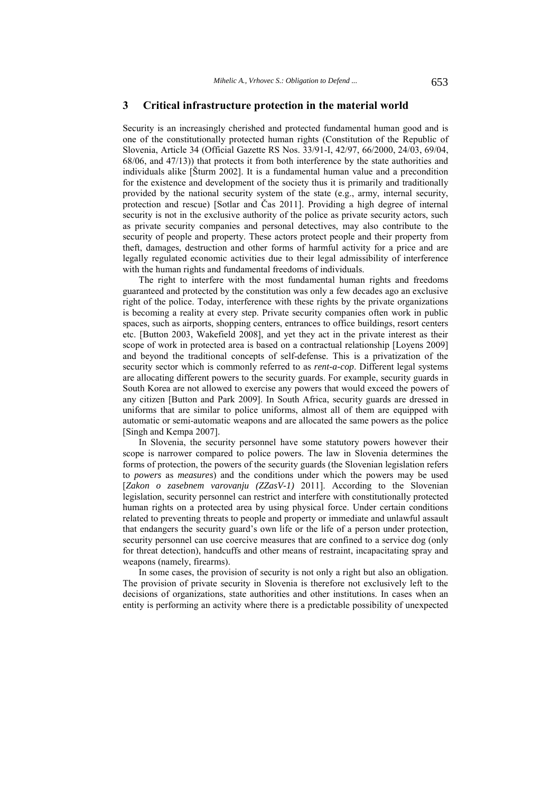## **3 Critical infrastructure protection in the material world**

Security is an increasingly cherished and protected fundamental human good and is one of the constitutionally protected human rights (Constitution of the Republic of Slovenia, Article 34 (Official Gazette RS Nos. 33/91-I, 42/97, 66/2000, 24/03, 69/04, 68/06, and 47/13)) that protects it from both interference by the state authorities and individuals alike [Šturm 2002]. It is a fundamental human value and a precondition for the existence and development of the society thus it is primarily and traditionally provided by the national security system of the state (e.g., army, internal security, protection and rescue) [Sotlar and Čas 2011]. Providing a high degree of internal security is not in the exclusive authority of the police as private security actors, such as private security companies and personal detectives, may also contribute to the security of people and property. These actors protect people and their property from theft, damages, destruction and other forms of harmful activity for a price and are legally regulated economic activities due to their legal admissibility of interference with the human rights and fundamental freedoms of individuals.

The right to interfere with the most fundamental human rights and freedoms guaranteed and protected by the constitution was only a few decades ago an exclusive right of the police. Today, interference with these rights by the private organizations is becoming a reality at every step. Private security companies often work in public spaces, such as airports, shopping centers, entrances to office buildings, resort centers etc. [Button 2003, Wakefield 2008], and yet they act in the private interest as their scope of work in protected area is based on a contractual relationship [Loyens 2009] and beyond the traditional concepts of self-defense. This is a privatization of the security sector which is commonly referred to as *rent-a-cop*. Different legal systems are allocating different powers to the security guards. For example, security guards in South Korea are not allowed to exercise any powers that would exceed the powers of any citizen [Button and Park 2009]. In South Africa, security guards are dressed in uniforms that are similar to police uniforms, almost all of them are equipped with automatic or semi-automatic weapons and are allocated the same powers as the police [Singh and Kempa 2007].

In Slovenia, the security personnel have some statutory powers however their scope is narrower compared to police powers. The law in Slovenia determines the forms of protection, the powers of the security guards (the Slovenian legislation refers to *powers* as *measures*) and the conditions under which the powers may be used [*Zakon o zasebnem varovanju (ZZasV-1)* 2011]. According to the Slovenian legislation, security personnel can restrict and interfere with constitutionally protected human rights on a protected area by using physical force. Under certain conditions related to preventing threats to people and property or immediate and unlawful assault that endangers the security guard's own life or the life of a person under protection, security personnel can use coercive measures that are confined to a service dog (only for threat detection), handcuffs and other means of restraint, incapacitating spray and weapons (namely, firearms).

In some cases, the provision of security is not only a right but also an obligation. The provision of private security in Slovenia is therefore not exclusively left to the decisions of organizations, state authorities and other institutions. In cases when an entity is performing an activity where there is a predictable possibility of unexpected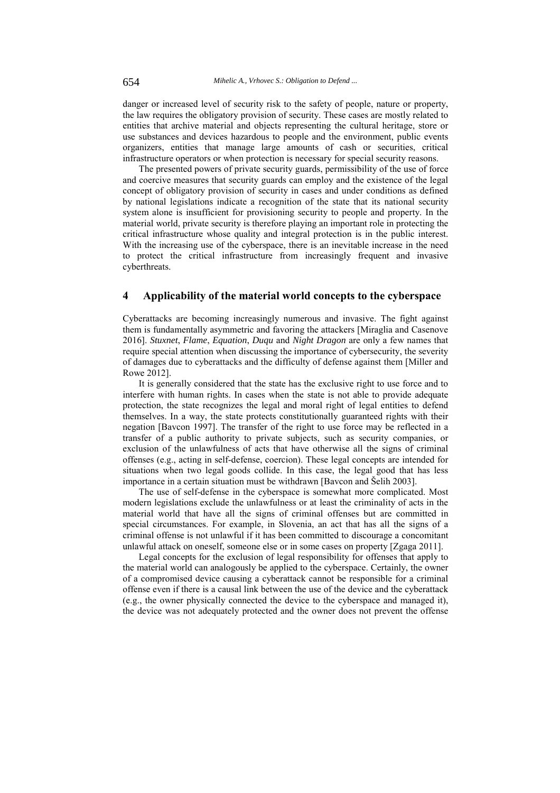danger or increased level of security risk to the safety of people, nature or property, the law requires the obligatory provision of security. These cases are mostly related to entities that archive material and objects representing the cultural heritage, store or use substances and devices hazardous to people and the environment, public events organizers, entities that manage large amounts of cash or securities, critical infrastructure operators or when protection is necessary for special security reasons.

The presented powers of private security guards, permissibility of the use of force and coercive measures that security guards can employ and the existence of the legal concept of obligatory provision of security in cases and under conditions as defined by national legislations indicate a recognition of the state that its national security system alone is insufficient for provisioning security to people and property. In the material world, private security is therefore playing an important role in protecting the critical infrastructure whose quality and integral protection is in the public interest. With the increasing use of the cyberspace, there is an inevitable increase in the need to protect the critical infrastructure from increasingly frequent and invasive cyberthreats.

## **4 Applicability of the material world concepts to the cyberspace**

Cyberattacks are becoming increasingly numerous and invasive. The fight against them is fundamentally asymmetric and favoring the attackers [Miraglia and Casenove 2016]. *Stuxnet*, *Flame*, *Equation*, *Duqu* and *Night Dragon* are only a few names that require special attention when discussing the importance of cybersecurity, the severity of damages due to cyberattacks and the difficulty of defense against them [Miller and Rowe 2012].

It is generally considered that the state has the exclusive right to use force and to interfere with human rights. In cases when the state is not able to provide adequate protection, the state recognizes the legal and moral right of legal entities to defend themselves. In a way, the state protects constitutionally guaranteed rights with their negation [Bavcon 1997]. The transfer of the right to use force may be reflected in a transfer of a public authority to private subjects, such as security companies, or exclusion of the unlawfulness of acts that have otherwise all the signs of criminal offenses (e.g., acting in self-defense, coercion). These legal concepts are intended for situations when two legal goods collide. In this case, the legal good that has less importance in a certain situation must be withdrawn [Bavcon and Šelih 2003].

The use of self-defense in the cyberspace is somewhat more complicated. Most modern legislations exclude the unlawfulness or at least the criminality of acts in the material world that have all the signs of criminal offenses but are committed in special circumstances. For example, in Slovenia, an act that has all the signs of a criminal offense is not unlawful if it has been committed to discourage a concomitant unlawful attack on oneself, someone else or in some cases on property [Zgaga 2011].

Legal concepts for the exclusion of legal responsibility for offenses that apply to the material world can analogously be applied to the cyberspace. Certainly, the owner of a compromised device causing a cyberattack cannot be responsible for a criminal offense even if there is a causal link between the use of the device and the cyberattack (e.g., the owner physically connected the device to the cyberspace and managed it), the device was not adequately protected and the owner does not prevent the offense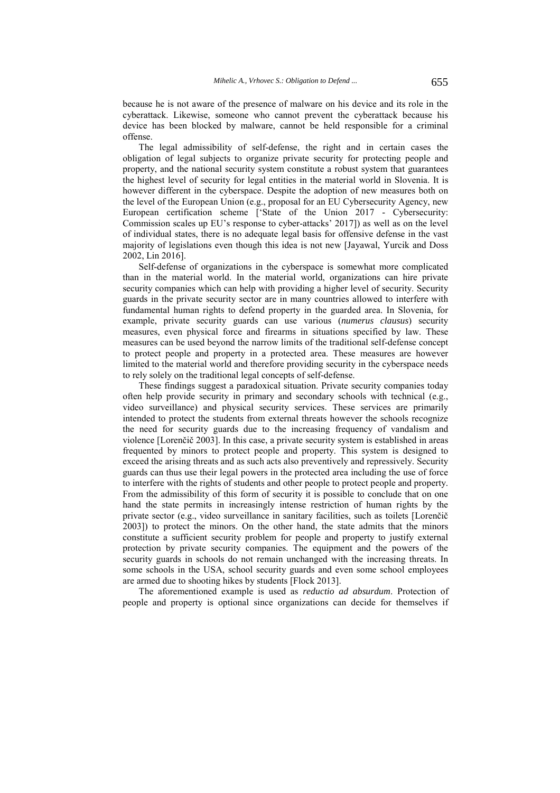because he is not aware of the presence of malware on his device and its role in the cyberattack. Likewise, someone who cannot prevent the cyberattack because his device has been blocked by malware, cannot be held responsible for a criminal offense.

The legal admissibility of self-defense, the right and in certain cases the obligation of legal subjects to organize private security for protecting people and property, and the national security system constitute a robust system that guarantees the highest level of security for legal entities in the material world in Slovenia. It is however different in the cyberspace. Despite the adoption of new measures both on the level of the European Union (e.g., proposal for an EU Cybersecurity Agency, new European certification scheme ['State of the Union 2017 - Cybersecurity: Commission scales up EU's response to cyber-attacks' 2017]) as well as on the level of individual states, there is no adequate legal basis for offensive defense in the vast majority of legislations even though this idea is not new [Jayawal, Yurcik and Doss 2002, Lin 2016].

Self-defense of organizations in the cyberspace is somewhat more complicated than in the material world. In the material world, organizations can hire private security companies which can help with providing a higher level of security. Security guards in the private security sector are in many countries allowed to interfere with fundamental human rights to defend property in the guarded area. In Slovenia, for example, private security guards can use various (*numerus clausus*) security measures, even physical force and firearms in situations specified by law. These measures can be used beyond the narrow limits of the traditional self-defense concept to protect people and property in a protected area. These measures are however limited to the material world and therefore providing security in the cyberspace needs to rely solely on the traditional legal concepts of self-defense.

These findings suggest a paradoxical situation. Private security companies today often help provide security in primary and secondary schools with technical (e.g., video surveillance) and physical security services. These services are primarily intended to protect the students from external threats however the schools recognize the need for security guards due to the increasing frequency of vandalism and violence [Lorenčič 2003]. In this case, a private security system is established in areas frequented by minors to protect people and property. This system is designed to exceed the arising threats and as such acts also preventively and repressively. Security guards can thus use their legal powers in the protected area including the use of force to interfere with the rights of students and other people to protect people and property. From the admissibility of this form of security it is possible to conclude that on one hand the state permits in increasingly intense restriction of human rights by the private sector (e.g., video surveillance in sanitary facilities, such as toilets [Lorenčič 2003]) to protect the minors. On the other hand, the state admits that the minors constitute a sufficient security problem for people and property to justify external protection by private security companies. The equipment and the powers of the security guards in schools do not remain unchanged with the increasing threats. In some schools in the USA, school security guards and even some school employees are armed due to shooting hikes by students [Flock 2013].

The aforementioned example is used as *reductio ad absurdum*. Protection of people and property is optional since organizations can decide for themselves if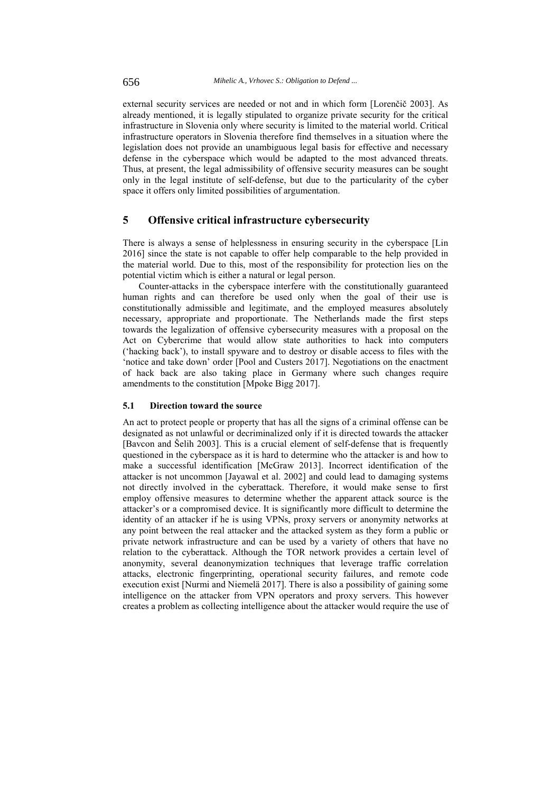external security services are needed or not and in which form [Lorenčič 2003]. As already mentioned, it is legally stipulated to organize private security for the critical infrastructure in Slovenia only where security is limited to the material world. Critical infrastructure operators in Slovenia therefore find themselves in a situation where the legislation does not provide an unambiguous legal basis for effective and necessary defense in the cyberspace which would be adapted to the most advanced threats. Thus, at present, the legal admissibility of offensive security measures can be sought only in the legal institute of self-defense, but due to the particularity of the cyber space it offers only limited possibilities of argumentation.

## **5 Offensive critical infrastructure cybersecurity**

There is always a sense of helplessness in ensuring security in the cyberspace [Lin 2016] since the state is not capable to offer help comparable to the help provided in the material world. Due to this, most of the responsibility for protection lies on the potential victim which is either a natural or legal person.

Counter-attacks in the cyberspace interfere with the constitutionally guaranteed human rights and can therefore be used only when the goal of their use is constitutionally admissible and legitimate, and the employed measures absolutely necessary, appropriate and proportionate. The Netherlands made the first steps towards the legalization of offensive cybersecurity measures with a proposal on the Act on Cybercrime that would allow state authorities to hack into computers ('hacking back'), to install spyware and to destroy or disable access to files with the 'notice and take down' order [Pool and Custers 2017]. Negotiations on the enactment of hack back are also taking place in Germany where such changes require amendments to the constitution [Mpoke Bigg 2017].

## **5.1 Direction toward the source**

An act to protect people or property that has all the signs of a criminal offense can be designated as not unlawful or decriminalized only if it is directed towards the attacker [Bavcon and Šelih 2003]. This is a crucial element of self-defense that is frequently questioned in the cyberspace as it is hard to determine who the attacker is and how to make a successful identification [McGraw 2013]. Incorrect identification of the attacker is not uncommon [Jayawal et al. 2002] and could lead to damaging systems not directly involved in the cyberattack. Therefore, it would make sense to first employ offensive measures to determine whether the apparent attack source is the attacker's or a compromised device. It is significantly more difficult to determine the identity of an attacker if he is using VPNs, proxy servers or anonymity networks at any point between the real attacker and the attacked system as they form a public or private network infrastructure and can be used by a variety of others that have no relation to the cyberattack. Although the TOR network provides a certain level of anonymity, several deanonymization techniques that leverage traffic correlation attacks, electronic fingerprinting, operational security failures, and remote code execution exist [Nurmi and Niemelä 2017]. There is also a possibility of gaining some intelligence on the attacker from VPN operators and proxy servers. This however creates a problem as collecting intelligence about the attacker would require the use of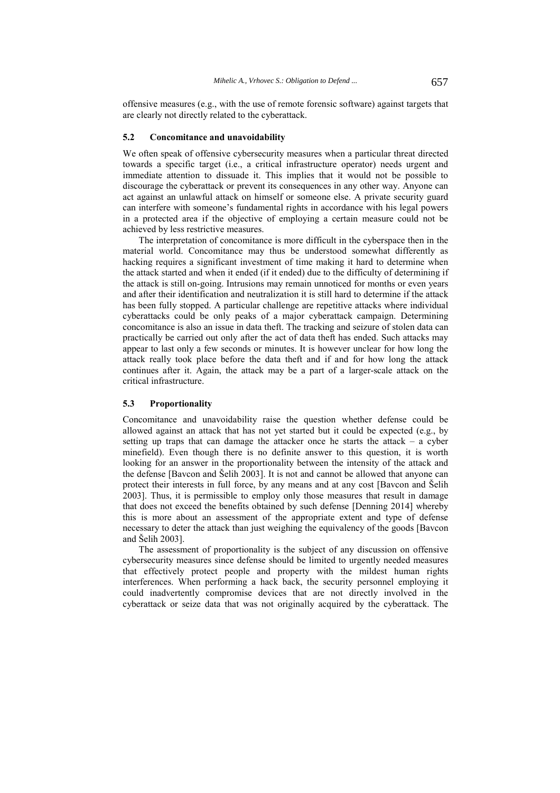offensive measures (e.g., with the use of remote forensic software) against targets that are clearly not directly related to the cyberattack.

#### **5.2 Concomitance and unavoidability**

We often speak of offensive cybersecurity measures when a particular threat directed towards a specific target (i.e., a critical infrastructure operator) needs urgent and immediate attention to dissuade it. This implies that it would not be possible to discourage the cyberattack or prevent its consequences in any other way. Anyone can act against an unlawful attack on himself or someone else. A private security guard can interfere with someone's fundamental rights in accordance with his legal powers in a protected area if the objective of employing a certain measure could not be achieved by less restrictive measures.

The interpretation of concomitance is more difficult in the cyberspace then in the material world. Concomitance may thus be understood somewhat differently as hacking requires a significant investment of time making it hard to determine when the attack started and when it ended (if it ended) due to the difficulty of determining if the attack is still on-going. Intrusions may remain unnoticed for months or even years and after their identification and neutralization it is still hard to determine if the attack has been fully stopped. A particular challenge are repetitive attacks where individual cyberattacks could be only peaks of a major cyberattack campaign. Determining concomitance is also an issue in data theft. The tracking and seizure of stolen data can practically be carried out only after the act of data theft has ended. Such attacks may appear to last only a few seconds or minutes. It is however unclear for how long the attack really took place before the data theft and if and for how long the attack continues after it. Again, the attack may be a part of a larger-scale attack on the critical infrastructure.

#### **5.3 Proportionality**

Concomitance and unavoidability raise the question whether defense could be allowed against an attack that has not yet started but it could be expected (e.g., by setting up traps that can damage the attacker once he starts the attack – a cyber minefield). Even though there is no definite answer to this question, it is worth looking for an answer in the proportionality between the intensity of the attack and the defense [Bavcon and Šelih 2003]. It is not and cannot be allowed that anyone can protect their interests in full force, by any means and at any cost [Bavcon and Šelih 2003]. Thus, it is permissible to employ only those measures that result in damage that does not exceed the benefits obtained by such defense [Denning 2014] whereby this is more about an assessment of the appropriate extent and type of defense necessary to deter the attack than just weighing the equivalency of the goods [Bavcon and Šelih 2003].

The assessment of proportionality is the subject of any discussion on offensive cybersecurity measures since defense should be limited to urgently needed measures that effectively protect people and property with the mildest human rights interferences. When performing a hack back, the security personnel employing it could inadvertently compromise devices that are not directly involved in the cyberattack or seize data that was not originally acquired by the cyberattack. The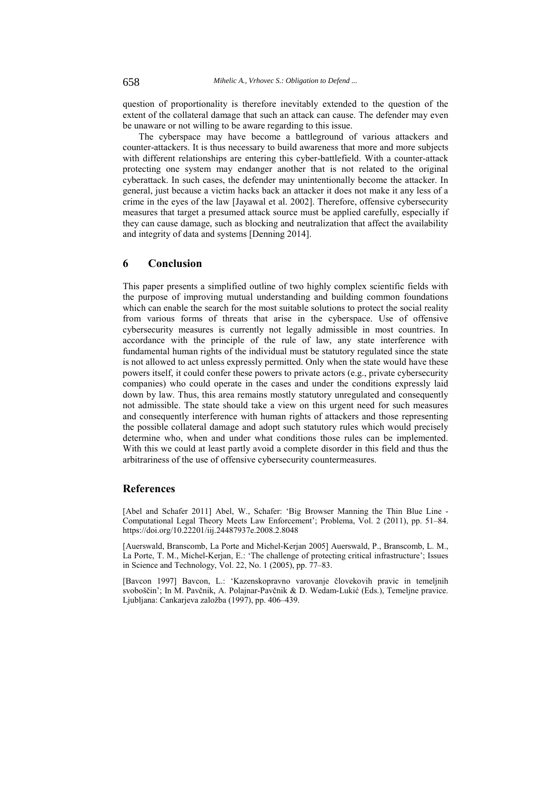question of proportionality is therefore inevitably extended to the question of the extent of the collateral damage that such an attack can cause. The defender may even be unaware or not willing to be aware regarding to this issue.

The cyberspace may have become a battleground of various attackers and counter-attackers. It is thus necessary to build awareness that more and more subjects with different relationships are entering this cyber-battlefield. With a counter-attack protecting one system may endanger another that is not related to the original cyberattack. In such cases, the defender may unintentionally become the attacker. In general, just because a victim hacks back an attacker it does not make it any less of a crime in the eyes of the law [Jayawal et al. 2002]. Therefore, offensive cybersecurity measures that target a presumed attack source must be applied carefully, especially if they can cause damage, such as blocking and neutralization that affect the availability and integrity of data and systems [Denning 2014].

# **6 Conclusion**

This paper presents a simplified outline of two highly complex scientific fields with the purpose of improving mutual understanding and building common foundations which can enable the search for the most suitable solutions to protect the social reality from various forms of threats that arise in the cyberspace. Use of offensive cybersecurity measures is currently not legally admissible in most countries. In accordance with the principle of the rule of law, any state interference with fundamental human rights of the individual must be statutory regulated since the state is not allowed to act unless expressly permitted. Only when the state would have these powers itself, it could confer these powers to private actors (e.g., private cybersecurity companies) who could operate in the cases and under the conditions expressly laid down by law. Thus, this area remains mostly statutory unregulated and consequently not admissible. The state should take a view on this urgent need for such measures and consequently interference with human rights of attackers and those representing the possible collateral damage and adopt such statutory rules which would precisely determine who, when and under what conditions those rules can be implemented. With this we could at least partly avoid a complete disorder in this field and thus the arbitrariness of the use of offensive cybersecurity countermeasures.

## **References**

[Abel and Schafer 2011] Abel, W., Schafer: 'Big Browser Manning the Thin Blue Line - Computational Legal Theory Meets Law Enforcement'; Problema, Vol. 2 (2011), pp. 51–84. https://doi.org/10.22201/iij.24487937e.2008.2.8048

[Auerswald, Branscomb, La Porte and Michel-Kerjan 2005] Auerswald, P., Branscomb, L. M., La Porte, T. M., Michel-Kerjan, E.: 'The challenge of protecting critical infrastructure'; Issues in Science and Technology, Vol. 22, No. 1 (2005), pp. 77–83.

[Bavcon 1997] Bavcon, L.: 'Kazenskopravno varovanje človekovih pravic in temeljnih svoboščin'; In M. Pavčnik, A. Polajnar-Pavčnik & D. Wedam-Lukić (Eds.), Temeljne pravice. Ljubljana: Cankarjeva založba (1997), pp. 406–439.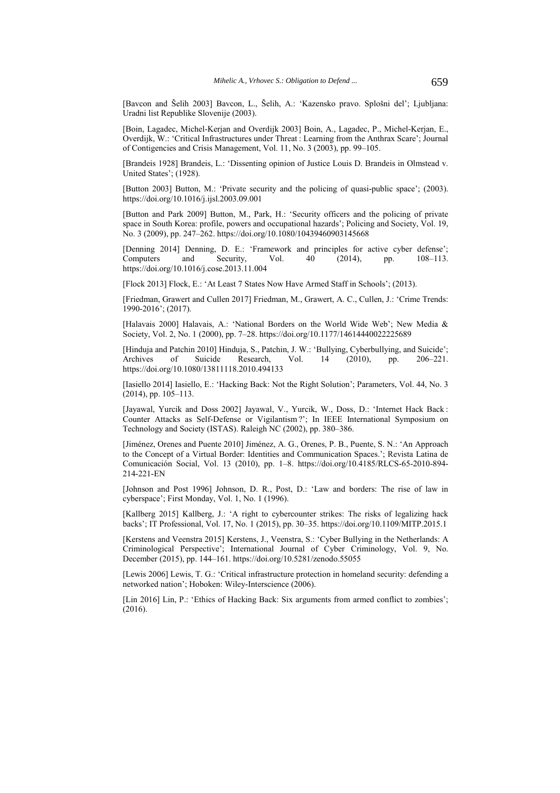[Bavcon and Šelih 2003] Bavcon, L., Šelih, A.: 'Kazensko pravo. Splošni del'; Ljubljana: Uradni list Republike Slovenije (2003).

[Boin, Lagadec, Michel-Kerjan and Overdijk 2003] Boin, A., Lagadec, P., Michel-Kerjan, E., Overdijk, W.: 'Critical Infrastructures under Threat : Learning from the Anthrax Scare'; Journal of Contigencies and Crisis Management, Vol. 11, No. 3 (2003), pp. 99–105.

[Brandeis 1928] Brandeis, L.: 'Dissenting opinion of Justice Louis D. Brandeis in Olmstead v. United States'; (1928).

[Button 2003] Button, M.: 'Private security and the policing of quasi-public space'; (2003). https://doi.org/10.1016/j.ijsl.2003.09.001

[Button and Park 2009] Button, M., Park, H.: 'Security officers and the policing of private space in South Korea: profile, powers and occupational hazards'; Policing and Society, Vol. 19, No. 3 (2009), pp. 247–262. https://doi.org/10.1080/10439460903145668

[Denning 2014] Denning, D. E.: 'Framework and principles for active cyber defense'; Computers and Security, Vol. 40 (2014), pp. 108–113. https://doi.org/10.1016/j.cose.2013.11.004

[Flock 2013] Flock, E.: 'At Least 7 States Now Have Armed Staff in Schools'; (2013).

[Friedman, Grawert and Cullen 2017] Friedman, M., Grawert, A. C., Cullen, J.: 'Crime Trends: 1990-2016'; (2017).

[Halavais 2000] Halavais, A.: 'National Borders on the World Wide Web'; New Media & Society, Vol. 2, No. 1 (2000), pp. 7–28. https://doi.org/10.1177/14614440022225689

[Hinduja and Patchin 2010] Hinduja, S., Patchin, J. W.: 'Bullying, Cyberbullying, and Suicide'; Archives of Suicide Research, Vol. 14 (2010), pp. 206–221. https://doi.org/10.1080/13811118.2010.494133

[Iasiello 2014] Iasiello, E.: 'Hacking Back: Not the Right Solution'; Parameters, Vol. 44, No. 3 (2014), pp. 105–113.

[Jayawal, Yurcik and Doss 2002] Jayawal, V., Yurcik, W., Doss, D.: 'Internet Hack Back : Counter Attacks as Self-Defense or Vigilantism ?'; In IEEE International Symposium on Technology and Society (ISTAS). Raleigh NC (2002), pp. 380–386.

[Jiménez, Orenes and Puente 2010] Jiménez, A. G., Orenes, P. B., Puente, S. N.: 'An Approach to the Concept of a Virtual Border: Identities and Communication Spaces.'; Revista Latina de Comunicación Social, Vol. 13 (2010), pp. 1–8. https://doi.org/10.4185/RLCS-65-2010-894- 214-221-EN

[Johnson and Post 1996] Johnson, D. R., Post, D.: 'Law and borders: The rise of law in cyberspace'; First Monday, Vol. 1, No. 1 (1996).

[Kallberg 2015] Kallberg, J.: 'A right to cybercounter strikes: The risks of legalizing hack backs'; IT Professional, Vol. 17, No. 1 (2015), pp. 30–35. https://doi.org/10.1109/MITP.2015.1

[Kerstens and Veenstra 2015] Kerstens, J., Veenstra, S.: 'Cyber Bullying in the Netherlands: A Criminological Perspective'; International Journal of Cyber Criminology, Vol. 9, No. December (2015), pp. 144–161. https://doi.org/10.5281/zenodo.55055

[Lewis 2006] Lewis, T. G.: 'Critical infrastructure protection in homeland security: defending a networked nation'; Hoboken: Wiley-Interscience (2006).

[Lin 2016] Lin, P.: 'Ethics of Hacking Back: Six arguments from armed conflict to zombies'; (2016).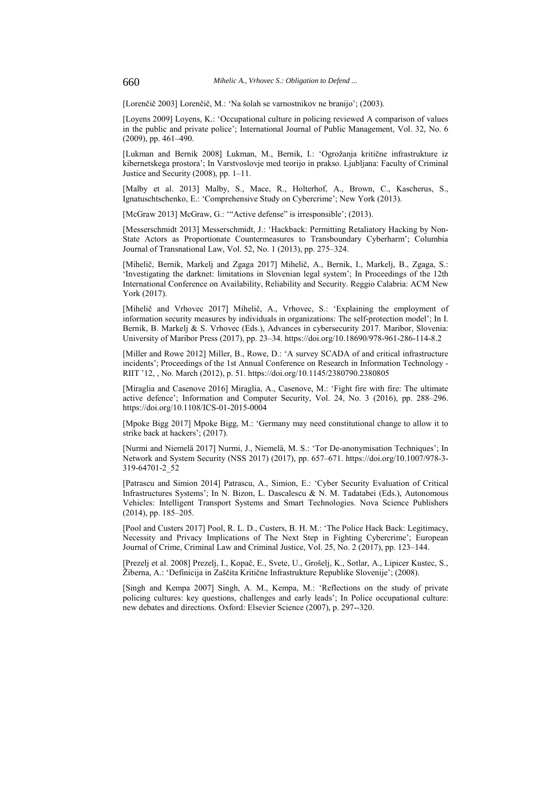[Lorenčič 2003] Lorenčič, M.: 'Na šolah se varnostnikov ne branijo'; (2003).

[Loyens 2009] Loyens, K.: 'Occupational culture in policing reviewed A comparison of values in the public and private police'; International Journal of Public Management, Vol. 32, No. 6  $(2009)$ , pp. 461–490.

[Lukman and Bernik 2008] Lukman, M., Bernik, I.: 'Ogrožanja kritične infrastrukture iz kibernetskega prostora'; In Varstvoslovje med teorijo in prakso. Ljubljana: Faculty of Criminal Justice and Security (2008), pp. 1–11.

[Malby et al. 2013] Malby, S., Mace, R., Holterhof, A., Brown, C., Kascherus, S., Ignatuschtschenko, E.: 'Comprehensive Study on Cybercrime'; New York (2013).

[McGraw 2013] McGraw, G.: "Active defense" is irresponsible'; (2013).

[Messerschmidt 2013] Messerschmidt, J.: 'Hackback: Permitting Retaliatory Hacking by Non-State Actors as Proportionate Countermeasures to Transboundary Cyberharm'; Columbia Journal of Transnational Law, Vol. 52, No. 1 (2013), pp. 275–324.

[Mihelič, Bernik, Markelj and Zgaga 2017] Mihelič, A., Bernik, I., Markelj, B., Zgaga, S.: 'Investigating the darknet: limitations in Slovenian legal system'; In Proceedings of the 12th International Conference on Availability, Reliability and Security. Reggio Calabria: ACM New York (2017).

[Mihelič and Vrhovec 2017] Mihelič, A., Vrhovec, S.: 'Explaining the employment of information security measures by individuals in organizations: The self-protection model'; In I. Bernik, B. Markelj & S. Vrhovec (Eds.), Advances in cybersecurity 2017. Maribor, Slovenia: University of Maribor Press (2017), pp. 23–34. https://doi.org/10.18690/978-961-286-114-8.2

[Miller and Rowe 2012] Miller, B., Rowe, D.: 'A survey SCADA of and critical infrastructure incidents'; Proceedings of the 1st Annual Conference on Research in Information Technology - RIIT '12, , No. March (2012), p. 51. https://doi.org/10.1145/2380790.2380805

[Miraglia and Casenove 2016] Miraglia, A., Casenove, M.: 'Fight fire with fire: The ultimate active defence'; Information and Computer Security, Vol. 24, No. 3 (2016), pp. 288–296. https://doi.org/10.1108/ICS-01-2015-0004

[Mpoke Bigg 2017] Mpoke Bigg, M.: 'Germany may need constitutional change to allow it to strike back at hackers'; (2017).

[Nurmi and Niemelä 2017] Nurmi, J., Niemelä, M. S.: 'Tor De-anonymisation Techniques'; In Network and System Security (NSS 2017) (2017), pp. 657–671. https://doi.org/10.1007/978-3- 319-64701-2\_52

[Patrascu and Simion 2014] Patrascu, A., Simion, E.: 'Cyber Security Evaluation of Critical Infrastructures Systems'; In N. Bizon, L. Dascalescu & N. M. Tadatabei (Eds.), Autonomous Vehicles: Intelligent Transport Systems and Smart Technologies. Nova Science Publishers (2014), pp. 185–205.

[Pool and Custers 2017] Pool, R. L. D., Custers, B. H. M.: 'The Police Hack Back: Legitimacy, Necessity and Privacy Implications of The Next Step in Fighting Cybercrime'; European Journal of Crime, Criminal Law and Criminal Justice, Vol. 25, No. 2 (2017), pp. 123–144.

[Prezelj et al. 2008] Prezelj, I., Kopač, E., Svete, U., Grošelj, K., Sotlar, A., Lipicer Kustec, S., Žiberna, A.: 'Definicija in Zaščita Kritične Infrastrukture Republike Slovenije'; (2008).

[Singh and Kempa 2007] Singh, A. M., Kempa, M.: 'Reflections on the study of private policing cultures: key questions, challenges and early leads'; In Police occupational culture: new debates and directions. Oxford: Elsevier Science (2007), p. 297--320.